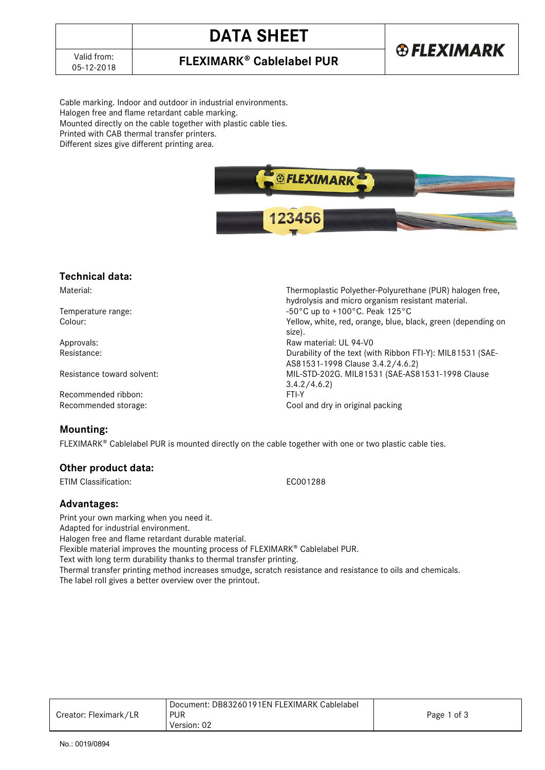## **DATA SHEET**

### **FLEXIMARK<sup>®</sup> Cablelabel PUR**

Cable marking. Indoor and outdoor in industrial environments. Halogen free and flame retardant cable marking. Mounted directly on the cable together with plastic cable ties. Printed with CAB thermal transfer printers. Different sizes give different printing area.



### **Technical data:**

Recommended ribbon: Recommended storage: Cool and dry in original packing

### **Mounting:**

FLEXIMARK<sup>®</sup> Cablelabel PUR is mounted directly on the cable together with one or two plastic cable ties.

### **Other product data:**

ETIM Classification: EC001288

### **Advantages:**

Print your own marking when you need it. Adapted for industrial environment. Halogen free and flame retardant durable material. Flexible material improves the mounting process of FLEXIMARK® Cablelabel PUR. Text with long term durability thanks to thermal transfer printing. Thermal transfer printing method increases smudge, scratch resistance and resistance to oils and chemicals. The label roll gives a better overview over the printout.

|                       | Document: DB83260191EN FLEXIMARK Cablelabel |             |
|-----------------------|---------------------------------------------|-------------|
| Creator: Fleximark/LR | <b>PUR</b>                                  | Page 1 of 3 |
|                       | Version: 02                                 |             |

Material: Thermoplastic Polyether-Polyurethane (PUR) halogen free, hydrolysis and micro organism resistant material. Temperature range:<br>
Colour: Colour: Colour: Colour: Colour: Colour: Colour: Colour: Colour: Colour: Colour: Colour: Colour: Colour Yellow, white, red, orange, blue, black, green (depending on size). Approvals:  $\begin{array}{ccc}\n\text{Approximate} & \text{Resistance:} \\
\text{Resistance:} & \text{Resistance:} \\
\end{array}$ Durability of the text (with Ribbon FTI-Y): MIL81531 (SAE-AS81531-1998 Clause 3.4.2/4.6.2) Resistance toward solvent: MIL-STD-202G. MIL81531 (SAE-AS81531-1998 Clause 3.4.2/4.6.2)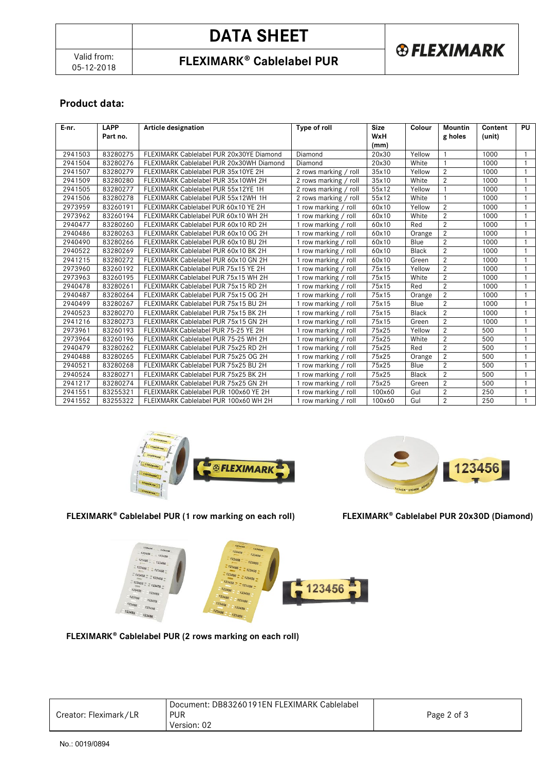# **DATA SHEET**



## **FLEXIMARK<sup>®</sup> Cablelabel PUR**

### **Product data:**

| E-nr.   | <b>LAPP</b><br>Part no. | Article designation                      | Type of roll          | <b>Size</b><br>WxH | Colour       | <b>Mountin</b><br>g holes | Content<br>(unit) | <b>PU</b>      |
|---------|-------------------------|------------------------------------------|-----------------------|--------------------|--------------|---------------------------|-------------------|----------------|
|         |                         |                                          |                       | (mm)               |              |                           |                   |                |
| 2941503 | 83280275                | FLEXIMARK Cablelabel PUR 20x30YE Diamond | Diamond               | 20x30              | Yellow       |                           | 1000              | $\mathbf{1}$   |
| 2941504 | 83280276                | FLEXIMARK Cablelabel PUR 20x30WH Diamond | Diamond               | 20x30              | White        |                           | 1000              |                |
| 2941507 | 83280279                | FLEXIMARK Cablelabel PUR 35x10YE 2H      | 2 rows marking / roll | 35x10              | Yellow       | $\overline{2}$            | 1000              | $\mathbf{1}$   |
| 2941509 | 83280280                | FLEXIMARK Cablelabel PUR 35x10WH 2H      | 2 rows marking / roll | 35x10              | White        | $\overline{2}$            | 1000              | -1             |
| 2941505 | 83280277                | FLEXIMARK Cablelabel PUR 55x12YE 1H      | 2 rows marking / roll | 55x12              | Yellow       | -1                        | 1000              | $\mathbf{1}$   |
| 2941506 | 83280278                | FLEXIMARK Cablelabel PUR 55x12WH 1H      | 2 rows marking / roll | 55x12              | White        | $\mathbf{1}$              | 1000              | -1             |
| 2973959 | 83260191                | FLEXIMARK Cablelabel PUR 60x10 YE 2H     | 1 row marking / roll  | 60x10              | Yellow       | $\overline{2}$            | 1000              | $\overline{1}$ |
| 2973962 | 83260194                | FLEXIMARK Cablelabel PUR 60x10 WH 2H     | 1 row marking / roll  | 60x10              | White        | $\overline{2}$            | 1000              | 1              |
| 2940477 | 83280260                | FLEXIMARK Cablelabel PUR 60x10 RD 2H     | 1 row marking / roll  | 60x10              | Red          | $\overline{2}$            | 1000              | -1             |
| 2940486 | 83280263                | FLEXIMARK Cablelabel PUR 60x10 OG 2H     | 1 row marking / roll  | 60x10              | Orange       | 2                         | 1000              | $\mathbf{1}$   |
| 2940490 | 83280266                | FLEXIMARK Cablelabel PUR 60x10 BU 2H     | 1 row marking / roll  | 60x10              | Blue         | $\overline{2}$            | 1000              | -1             |
| 2940522 | 83280269                | FLEXIMARK Cablelabel PUR 60x10 BK 2H     | 1 row marking / roll  | 60x10              | <b>Black</b> | $\overline{2}$            | 1000              | $\overline{1}$ |
| 2941215 | 83280272                | FLEXIMARK Cablelabel PUR 60x10 GN 2H     | 1 row marking / roll  | 60x10              | Green        | 2                         | 1000              | $\overline{1}$ |
| 2973960 | 83260192                | FLEXIMARK Cablelabel PUR 75x15 YE 2H     | 1 row marking / roll  | 75x15              | Yellow       | $\overline{2}$            | 1000              | $\overline{1}$ |
| 2973963 | 83260195                | FLEXIMARK Cablelabel PUR 75x15 WH 2H     | 1 row marking / roll  | 75x15              | White        | $\overline{2}$            | 1000              | -1             |
| 2940478 | 83280261                | FLEXIMARK Cablelabel PUR 75x15 RD 2H     | 1 row marking / roll  | 75x15              | Red          | 2                         | 1000              | $\mathbf{1}$   |
| 2940487 | 83280264                | FLEXIMARK Cablelabel PUR 75x15 OG 2H     | 1 row marking / roll  | 75x15              | Orange       | $\overline{2}$            | 1000              | $\overline{1}$ |
| 2940499 | 83280267                | FLEXIMARK Cablelabel PUR 75x15 BU 2H     | row marking / roll    | 75x15              | Blue         | $\overline{2}$            | 1000              | -1             |
| 2940523 | 83280270                | FLEXIMARK Cablelabel PUR 75x15 BK 2H     | row marking / roll    | 75x15              | <b>Black</b> | $\overline{2}$            | 1000              |                |
| 2941216 | 83280273                | FLEXIMARK Cablelabel PUR 75x15 GN 2H     | 1 row marking / roll  | 75x15              | Green        | 2                         | 1000              | -1             |
| 2973961 | 83260193                | FLEXIMARK Cablelabel PUR 75-25 YE 2H     | 1 row marking / roll  | 75x25              | Yellow       | $\overline{2}$            | 500               | 1              |
| 2973964 | 83260196                | FLEXIMARK Cablelabel PUR 75-25 WH 2H     | 1 row marking / roll  | 75x25              | White        | $\overline{2}$            | 500               | $\mathbf{1}$   |
| 2940479 | 83280262                | FLEXIMARK Cablelabel PUR 75x25 RD 2H     | 1 row marking / roll  | 75x25              | Red          | 2                         | 500               | -1             |
| 2940488 | 83280265                | FLEXIMARK Cablelabel PUR 75x25 OG 2H     | 1 row marking / roll  | 75x25              | Orange       | $\overline{2}$            | 500               | $\overline{1}$ |
| 2940521 | 83280268                | FLEXIMARK Cablelabel PUR 75x25 BU 2H     | 1 row marking / roll  | 75x25              | Blue         | $\overline{2}$            | 500               | $\mathbf{1}$   |
| 2940524 | 83280271                | FLEXIMARK Cablelabel PUR 75x25 BK 2H     | row marking / roll    | 75x25              | <b>Black</b> | $\overline{2}$            | 500               | -1             |
| 2941217 | 83280274                | FLEXIMARK Cablelabel PUR 75x25 GN 2H     | 1 row marking / roll  | 75x25              | Green        | 2                         | 500               | $\mathbf{1}$   |
| 2941551 | 83255321                | FLEIXMARK Cablelabel PUR 100x60 YE 2H    | 1 row marking / roll  | 100x60             | Gul          | $\overline{2}$            | 250               | -1             |
| 2941552 | 83255322                | FLEIXMARK Cablelabel PUR 100x60 WH 2H    | row marking / roll    | 100x60             | Gul          | $\overline{2}$            | 250               |                |





FLEXIMARK<sup>®</sup> Cablelabel PUR (1 row marking on each roll)

**FLEXIMARK Cablelabel PUR 20x30D (Diamond)** 



FLEXIMARK<sup>®</sup> Cablelabel PUR (2 rows marking on each roll)

|                       | Document: DB83260191EN FLEXIMARK Cablelabel |             |
|-----------------------|---------------------------------------------|-------------|
| Creator: Fleximark/LR | <b>PUR</b>                                  | Page 2 of 3 |
|                       | Version: 02                                 |             |